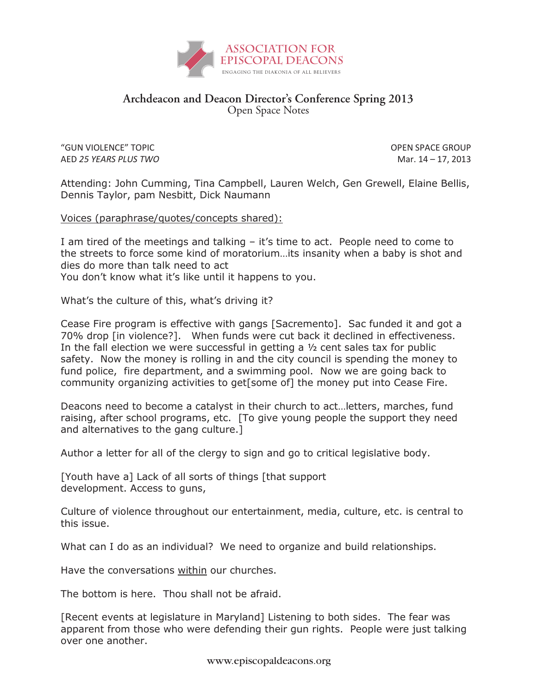

## **Archdeacon and Deacon Director's Conference Spring 2013** Open Space Notes

"GUN VIOLENCE" TOPIC OPEN SPACE GROUP AED *25 YEARS PLUS TWO* Mar. 14 – 17, 2013

Attending: John Cumming, Tina Campbell, Lauren Welch, Gen Grewell, Elaine Bellis, Dennis Taylor, pam Nesbitt, Dick Naumann

Voices (paraphrase/quotes/concepts shared):

I am tired of the meetings and talking – it's time to act. People need to come to the streets to force some kind of moratorium…its insanity when a baby is shot and dies do more than talk need to act You don't know what it's like until it happens to you.

What's the culture of this, what's driving it?

Cease Fire program is effective with gangs [Sacremento]. Sac funded it and got a 70% drop [in violence?]. When funds were cut back it declined in effectiveness. In the fall election we were successful in getting a ½ cent sales tax for public safety. Now the money is rolling in and the city council is spending the money to fund police, fire department, and a swimming pool. Now we are going back to community organizing activities to get[some of] the money put into Cease Fire.

Deacons need to become a catalyst in their church to act…letters, marches, fund raising, after school programs, etc. [To give young people the support they need and alternatives to the gang culture.]

Author a letter for all of the clergy to sign and go to critical legislative body.

[Youth have a] Lack of all sorts of things [that support development. Access to guns,

Culture of violence throughout our entertainment, media, culture, etc. is central to this issue.

What can I do as an individual? We need to organize and build relationships.

Have the conversations within our churches.

The bottom is here. Thou shall not be afraid.

[Recent events at legislature in Maryland] Listening to both sides. The fear was apparent from those who were defending their gun rights. People were just talking over one another.

www.episcopaldeacons.org